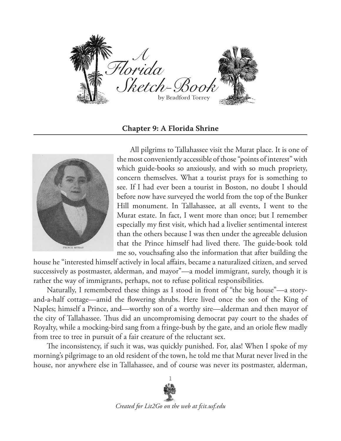

**Chapter 9: A Florida Shrine**



All pilgrims to Tallahassee visit the Murat place. It is one of the most conveniently accessible of those "points of interest" with which guide-books so anxiously, and with so much propriety, concern themselves. What a tourist prays for is something to see. If I had ever been a tourist in Boston, no doubt I should before now have surveyed the world from the top of the Bunker Hill monument. In Tallahassee, at all events, I went to the Murat estate. In fact, I went more than once; but I remember especially my first visit, which had a livelier sentimental interest than the others because I was then under the agreeable delusion that the Prince himself had lived there. The guide-book told me so, vouchsafing also the information that after building the

house he "interested himself actively in local affairs, became a naturalized citizen, and served successively as postmaster, alderman, and mayor"—a model immigrant, surely, though it is rather the way of immigrants, perhaps, not to refuse political responsibilities.

Naturally, I remembered these things as I stood in front of "the big house"—a storyand-a-half cottage—amid the flowering shrubs. Here lived once the son of the King of Naples; himself a Prince, and—worthy son of a worthy sire—alderman and then mayor of the city of Tallahassee. Thus did an uncompromising democrat pay court to the shades of Royalty, while a mocking-bird sang from a fringe-bush by the gate, and an oriole flew madly from tree to tree in pursuit of a fair creature of the reluctant sex.

The inconsistency, if such it was, was quickly punished. For, alas! When I spoke of my morning's pilgrimage to an old resident of the town, he told me that Murat never lived in the house, nor anywhere else in Tallahassee, and of course was never its postmaster, alderman,

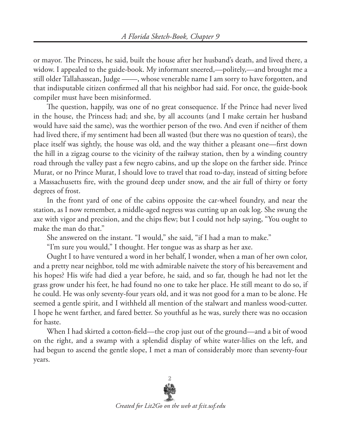or mayor. The Princess, he said, built the house after her husband's death, and lived there, a widow. I appealed to the guide-book. My informant sneered,—politely,—and brought me a still older Tallahassean, Judge ——, whose venerable name I am sorry to have forgotten, and that indisputable citizen confirmed all that his neighbor had said. For once, the guide-book compiler must have been misinformed.

The question, happily, was one of no great consequence. If the Prince had never lived in the house, the Princess had; and she, by all accounts (and I make certain her husband would have said the same), was the worthier person of the two. And even if neither of them had lived there, if my sentiment had been all wasted (but there was no question of tears), the place itself was sightly, the house was old, and the way thither a pleasant one—first down the hill in a zigzag course to the vicinity of the railway station, then by a winding country road through the valley past a few negro cabins, and up the slope on the farther side. Prince Murat, or no Prince Murat, I should love to travel that road to-day, instead of sitting before a Massachusetts fire, with the ground deep under snow, and the air full of thirty or forty degrees of frost.

In the front yard of one of the cabins opposite the car-wheel foundry, and near the station, as I now remember, a middle-aged negress was cutting up an oak log. She swung the axe with vigor and precision, and the chips flew; but I could not help saying, "You ought to make the man do that."

She answered on the instant. "I would," she said, "if I had a man to make."

"I'm sure you would," I thought. Her tongue was as sharp as her axe.

Ought I to have ventured a word in her behalf, I wonder, when a man of her own color, and a pretty near neighbor, told me with admirable naivete the story of his bereavement and his hopes? His wife had died a year before, he said, and so far, though he had not let the grass grow under his feet, he had found no one to take her place. He still meant to do so, if he could. He was only seventy-four years old, and it was not good for a man to be alone. He seemed a gentle spirit, and I withheld all mention of the stalwart and manless wood-cutter. I hope he went farther, and fared better. So youthful as he was, surely there was no occasion for haste.

When I had skirted a cotton-field—the crop just out of the ground—and a bit of wood on the right, and a swamp with a splendid display of white water-lilies on the left, and had begun to ascend the gentle slope, I met a man of considerably more than seventy-four years.

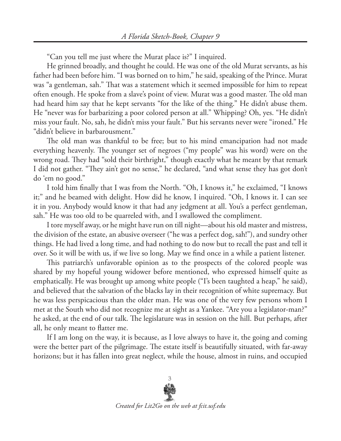"Can you tell me just where the Murat place is?" I inquired.

He grinned broadly, and thought he could. He was one of the old Murat servants, as his father had been before him. "I was borned on to him," he said, speaking of the Prince. Murat was "a gentleman, sah." That was a statement which it seemed impossible for him to repeat often enough. He spoke from a slave's point of view. Murat was a good master. The old man had heard him say that he kept servants "for the like of the thing." He didn't abuse them. He "never was for barbarizing a poor colored person at all." Whipping? Oh, yes. "He didn't miss your fault. No, sah, he didn't miss your fault." But his servants never were "ironed." He "didn't believe in barbarousment."

The old man was thankful to be free; but to his mind emancipation had not made everything heavenly. The younger set of negroes ("my people" was his word) were on the wrong road. They had "sold their birthright," though exactly what he meant by that remark I did not gather. "They ain't got no sense," he declared, "and what sense they has got don't do 'em no good."

I told him finally that I was from the North. "Oh, I knows it," he exclaimed, "I knows it;" and he beamed with delight. How did he know, I inquired. "Oh, I knows it. I can see it in you. Anybody would know it that had any jedgment at all. You's a perfect gentleman, sah." He was too old to be quarreled with, and I swallowed the compliment.

I tore myself away, or he might have run on till night—about his old master and mistress, the division of the estate, an abusive overseer ("he was a perfect dog, sah!"), and sundry other things. He had lived a long time, and had nothing to do now but to recall the past and tell it over. So it will be with us, if we live so long. May we find once in a while a patient listener.

This patriarch's unfavorable opinion as to the prospects of the colored people was shared by my hopeful young widower before mentioned, who expressed himself quite as emphatically. He was brought up among white people ("I's been taughted a heap," he said), and believed that the salvation of the blacks lay in their recognition of white supremacy. But he was less perspicacious than the older man. He was one of the very few persons whom I met at the South who did not recognize me at sight as a Yankee. "Are you a legislator-man?" he asked, at the end of our talk. The legislature was in session on the hill. But perhaps, after all, he only meant to flatter me.

If I am long on the way, it is because, as I love always to have it, the going and coming were the better part of the pilgrimage. The estate itself is beautifully situated, with far-away horizons; but it has fallen into great neglect, while the house, almost in ruins, and occupied

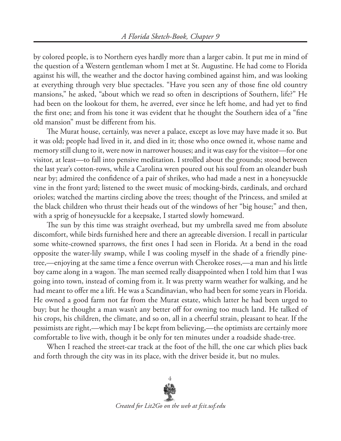by colored people, is to Northern eyes hardly more than a larger cabin. It put me in mind of the question of a Western gentleman whom I met at St. Augustine. He had come to Florida against his will, the weather and the doctor having combined against him, and was looking at everything through very blue spectacles. "Have you seen any of those fine old country mansions," he asked, "about which we read so often in descriptions of Southern, life?" He had been on the lookout for them, he averred, ever since he left home, and had yet to find the first one; and from his tone it was evident that he thought the Southern idea of a "fine old mansion" must be different from his.

The Murat house, certainly, was never a palace, except as love may have made it so. But it was old; people had lived in it, and died in it; those who once owned it, whose name and memory still clung to it, were now in narrower houses; and it was easy for the visitor—for one visitor, at least—to fall into pensive meditation. I strolled about the grounds; stood between the last year's cotton-rows, while a Carolina wren poured out his soul from an oleander bush near by; admired the confidence of a pair of shrikes, who had made a nest in a honeysuckle vine in the front yard; listened to the sweet music of mocking-birds, cardinals, and orchard orioles; watched the martins circling above the trees; thought of the Princess, and smiled at the black children who thrust their heads out of the windows of her "big house;" and then, with a sprig of honeysuckle for a keepsake, I started slowly homeward.

The sun by this time was straight overhead, but my umbrella saved me from absolute discomfort, while birds furnished here and there an agreeable diversion. I recall in particular some white-crowned sparrows, the first ones I had seen in Florida. At a bend in the road opposite the water-lily swamp, while I was cooling myself in the shade of a friendly pinetree,—enjoying at the same time a fence overrun with Cherokee roses,—a man and his little boy came along in a wagon. The man seemed really disappointed when I told him that I was going into town, instead of coming from it. It was pretty warm weather for walking, and he had meant to offer me a lift. He was a Scandinavian, who had been for some years in Florida. He owned a good farm not far from the Murat estate, which latter he had been urged to buy; but he thought a man wasn't any better off for owning too much land. He talked of his crops, his children, the climate, and so on, all in a cheerful strain, pleasant to hear. If the pessimists are right,—which may I be kept from believing,—the optimists are certainly more comfortable to live with, though it be only for ten minutes under a roadside shade-tree.

When I reached the street-car track at the foot of the hill, the one car which plies back and forth through the city was in its place, with the driver beside it, but no mules.